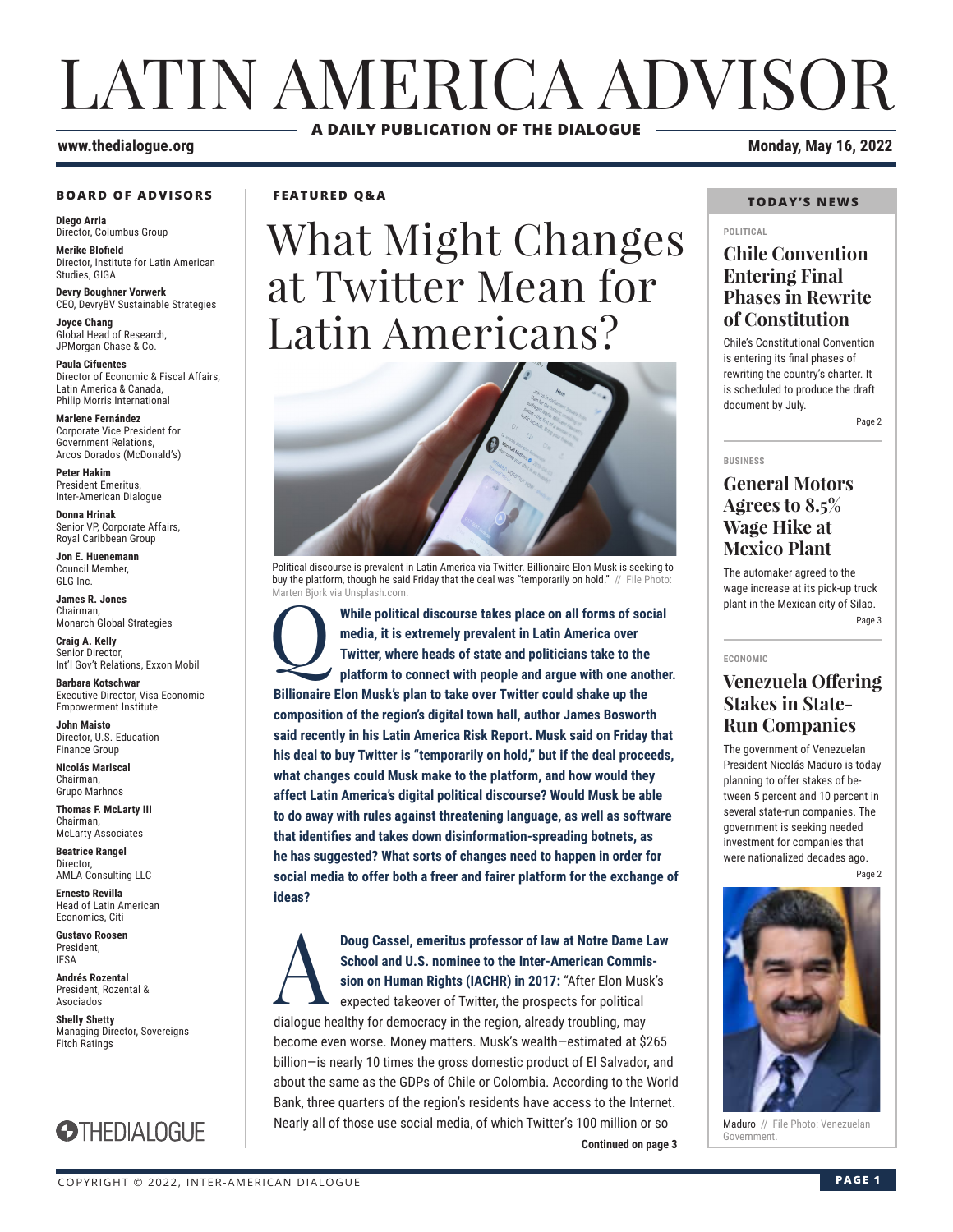# LATIN AMERICA ADVISOR **A DAILY PUBLICATION OF THE DIALOGUE**

#### **www.thedialogue.org Monday, May 16, 2022**

#### **BOARD OF ADVISORS**

**Diego Arria** Director, Columbus Group

**Merike Blofield** Director, Institute for Latin American Studies, GIGA

**Devry Boughner Vorwerk** CEO, DevryBV Sustainable Strategies

**Joyce Chang** Global Head of Research, JPMorgan Chase & Co.

**Paula Cifuentes** Director of Economic & Fiscal Affairs, Latin America & Canada, Philip Morris International

**Marlene Fernández** Corporate Vice President for Government Relations, Arcos Dorados (McDonald's)

**Peter Hakim** President Emeritus, Inter-American Dialogue

**Donna Hrinak** Senior VP, Corporate Affairs, Royal Caribbean Group

**Jon E. Huenemann** Council Member, GLG Inc.

**James R. Jones** Chairman, Monarch Global Strategies

**Craig A. Kelly** Senior Director, Int'l Gov't Relations, Exxon Mobil

**Barbara Kotschwar** Executive Director, Visa Economic Empowerment Institute

**John Maisto** Director, U.S. Education Finance Group

**Nicolás Mariscal** Chairman, Grupo Marhnos

**Thomas F. McLarty III** Chairman, McLarty Associates

**Beatrice Rangel**  Director, AMLA Consulting LLC

**Ernesto Revilla**  Head of Latin American

Economics, Citi **Gustavo Roosen** President, IESA

**Andrés Rozental**  President, Rozental & Asociados

**Shelly Shetty** Managing Director, Sovereigns Fitch Ratings



#### **FEATURED Q&A**

# What Might Changes at Twitter Mean for Latin Americans?



Political discourse is prevalent in Latin America via Twitter. Billionaire Elon Musk is seeking to buy the platform, though he said Friday that the deal was "temporarily on hold." // File Photo: rten Biork via Unsplash.com

Q **While political discourse takes place on all forms of social media, it is extremely prevalent in Latin America over Twitter, where heads of state and politicians take to the platform to connect with people and argue with one another. Billionaire Elon Musk's plan to take over Twitter could shake up the composition of the region's digital town hall, author James Bosworth said recently in his Latin America Risk Report. Musk said on Friday that his deal to buy Twitter is "temporarily on hold," but if the deal proceeds, what changes could Musk make to the platform, and how would they affect Latin America's digital political discourse? Would Musk be able to do away with rules against threatening language, as well as software that identifies and takes down disinformation-spreading botnets, as he has suggested? What sorts of changes need to happen in order for social media to offer both a freer and fairer platform for the exchange of ideas?**

**Continued on page 3 Continued on page 3 Doug Cassel, emeritus professor of law at Notre Dame Law School and U.S. nominee to the Inter-American Commission on Human Rights (IACHR) in 2017: "After Elon Musk's expected takeover of Twitter, the prospects for politic School and U.S. nominee to the Inter-American Commission on Human Rights (IACHR) in 2017:** "After Elon Musk's expected takeover of Twitter, the prospects for political dialogue healthy for democracy in the region, already troubling, may become even worse. Money matters. Musk's wealth—estimated at \$265 billion—is nearly 10 times the gross domestic product of El Salvador, and about the same as the GDPs of Chile or Colombia. According to the World Bank, three quarters of the region's residents have access to the Internet. Nearly all of those use social media, of which Twitter's 100 million or so

#### **TODAY'S NEWS**

#### **POLITICAL**

### **Chile Convention Entering Final Phases in Rewrite of Constitution**

Chile's Constitutional Convention is entering its final phases of rewriting the country's charter. It is scheduled to produce the draft document by July. Page 2

#### **BUSINESS**

#### **General Motors Agrees to 8.5% Wage Hike at Mexico Plant**

The automaker agreed to the wage increase at its pick-up truck plant in the Mexican city of Silao. Page 3

#### **ECONOMIC**

### **Venezuela Offering Stakes in State-Run Companies**

The government of Venezuelan President Nicolás Maduro is today planning to offer stakes of between 5 percent and 10 percent in several state-run companies. The government is seeking needed investment for companies that were nationalized decades ago.

Page 2



Maduro // File Photo: Venezuelan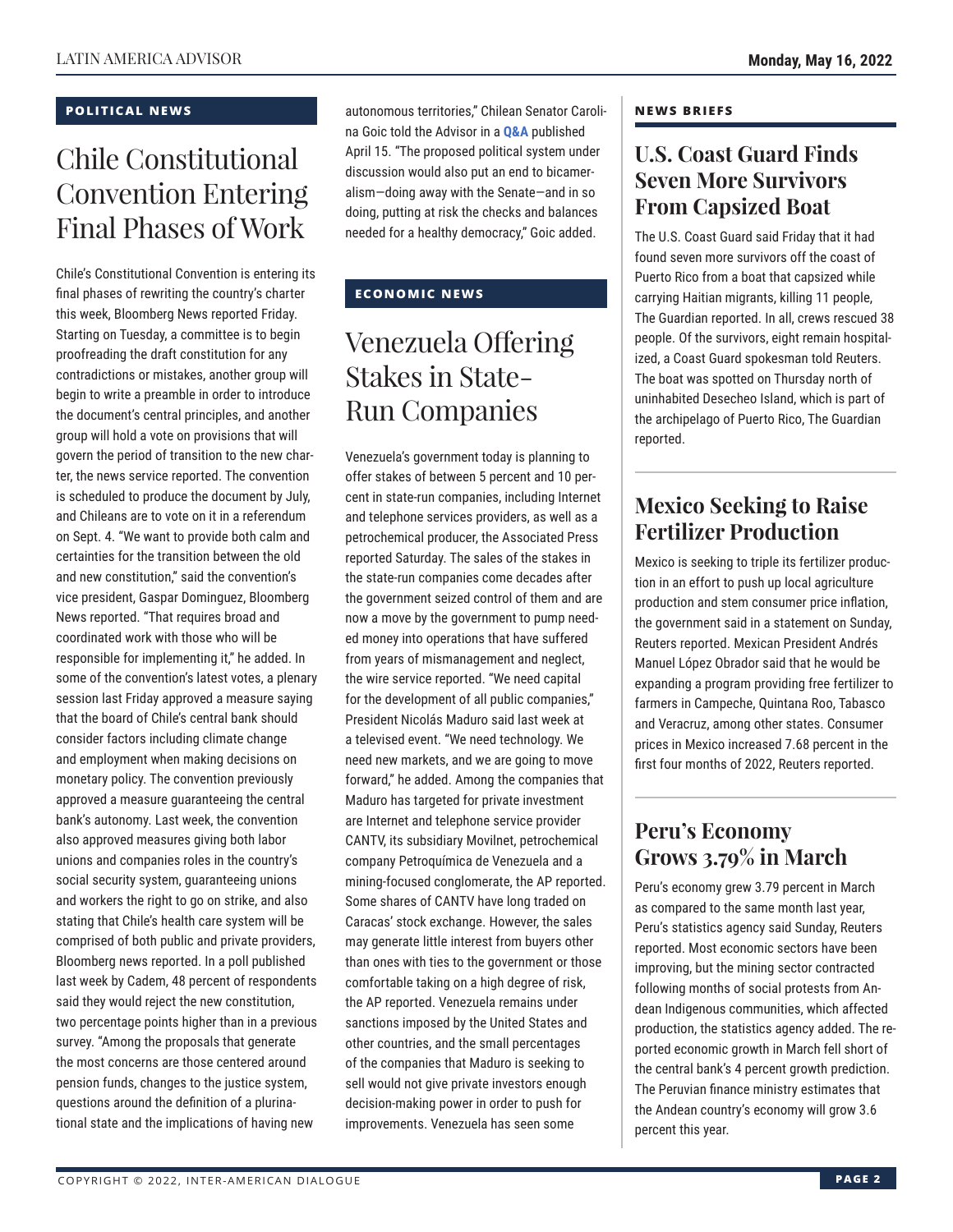#### **POLITICAL NEWS**

## Chile Constitutional Convention Entering Final Phases of Work

Chile's Constitutional Convention is entering its final phases of rewriting the country's charter this week, Bloomberg News reported Friday. Starting on Tuesday, a committee is to begin proofreading the draft constitution for any contradictions or mistakes, another group will begin to write a preamble in order to introduce the document's central principles, and another group will hold a vote on provisions that will govern the period of transition to the new charter, the news service reported. The convention is scheduled to produce the document by July, and Chileans are to vote on it in a referendum on Sept. 4. "We want to provide both calm and certainties for the transition between the old and new constitution," said the convention's vice president, Gaspar Dominguez, Bloomberg News reported. "That requires broad and coordinated work with those who will be responsible for implementing it," he added. In some of the convention's latest votes, a plenary session last Friday approved a measure saying that the board of Chile's central bank should consider factors including climate change and employment when making decisions on monetary policy. The convention previously approved a measure guaranteeing the central bank's autonomy. Last week, the convention also approved measures giving both labor unions and companies roles in the country's social security system, guaranteeing unions and workers the right to go on strike, and also stating that Chile's health care system will be comprised of both public and private providers, Bloomberg news reported. In a poll published last week by Cadem, 48 percent of respondents said they would reject the new constitution, two percentage points higher than in a previous survey. "Among the proposals that generate the most concerns are those centered around pension funds, changes to the justice system, questions around the definition of a plurinational state and the implications of having new

autonomous territories," Chilean Senator Carolina Goic told the Advisor in a **[Q&A](https://www.thedialogue.org/wp-content/uploads/2022/04/LAA220415.pdf)** published April 15. "The proposed political system under discussion would also put an end to bicameralism—doing away with the Senate—and in so doing, putting at risk the checks and balances needed for a healthy democracy," Goic added.

#### **ECONOMIC NEWS**

### Venezuela Offering Stakes in State-Run Companies

Venezuela's government today is planning to offer stakes of between 5 percent and 10 percent in state-run companies, including Internet and telephone services providers, as well as a petrochemical producer, the Associated Press reported Saturday. The sales of the stakes in the state-run companies come decades after the government seized control of them and are now a move by the government to pump needed money into operations that have suffered from years of mismanagement and neglect, the wire service reported. "We need capital for the development of all public companies," President Nicolás Maduro said last week at a televised event. "We need technology. We need new markets, and we are going to move forward," he added. Among the companies that Maduro has targeted for private investment are Internet and telephone service provider CANTV, its subsidiary Movilnet, petrochemical company Petroquímica de Venezuela and a mining-focused conglomerate, the AP reported. Some shares of CANTV have long traded on Caracas' stock exchange. However, the sales may generate little interest from buyers other than ones with ties to the government or those comfortable taking on a high degree of risk, the AP reported. Venezuela remains under sanctions imposed by the United States and other countries, and the small percentages of the companies that Maduro is seeking to sell would not give private investors enough decision-making power in order to push for improvements. Venezuela has seen some

#### **NEWS BRIEFS**

### **U.S. Coast Guard Finds Seven More Survivors From Capsized Boat**

The U.S. Coast Guard said Friday that it had found seven more survivors off the coast of Puerto Rico from a boat that capsized while carrying Haitian migrants, killing 11 people, The Guardian reported. In all, crews rescued 38 people. Of the survivors, eight remain hospitalized, a Coast Guard spokesman told Reuters. The boat was spotted on Thursday north of uninhabited Desecheo Island, which is part of the archipelago of Puerto Rico, The Guardian reported.

### **Mexico Seeking to Raise Fertilizer Production**

Mexico is seeking to triple its fertilizer production in an effort to push up local agriculture production and stem consumer price inflation, the government said in a statement on Sunday, Reuters reported. Mexican President Andrés Manuel López Obrador said that he would be expanding a program providing free fertilizer to farmers in Campeche, Quintana Roo, Tabasco and Veracruz, among other states. Consumer prices in Mexico increased 7.68 percent in the first four months of 2022, Reuters reported.

### **Peru's Economy Grows 3.79% in March**

Peru's economy grew 3.79 percent in March as compared to the same month last year, Peru's statistics agency said Sunday, Reuters reported. Most economic sectors have been improving, but the mining sector contracted following months of social protests from Andean Indigenous communities, which affected production, the statistics agency added. The reported economic growth in March fell short of the central bank's 4 percent growth prediction. The Peruvian finance ministry estimates that the Andean country's economy will grow 3.6 percent this year.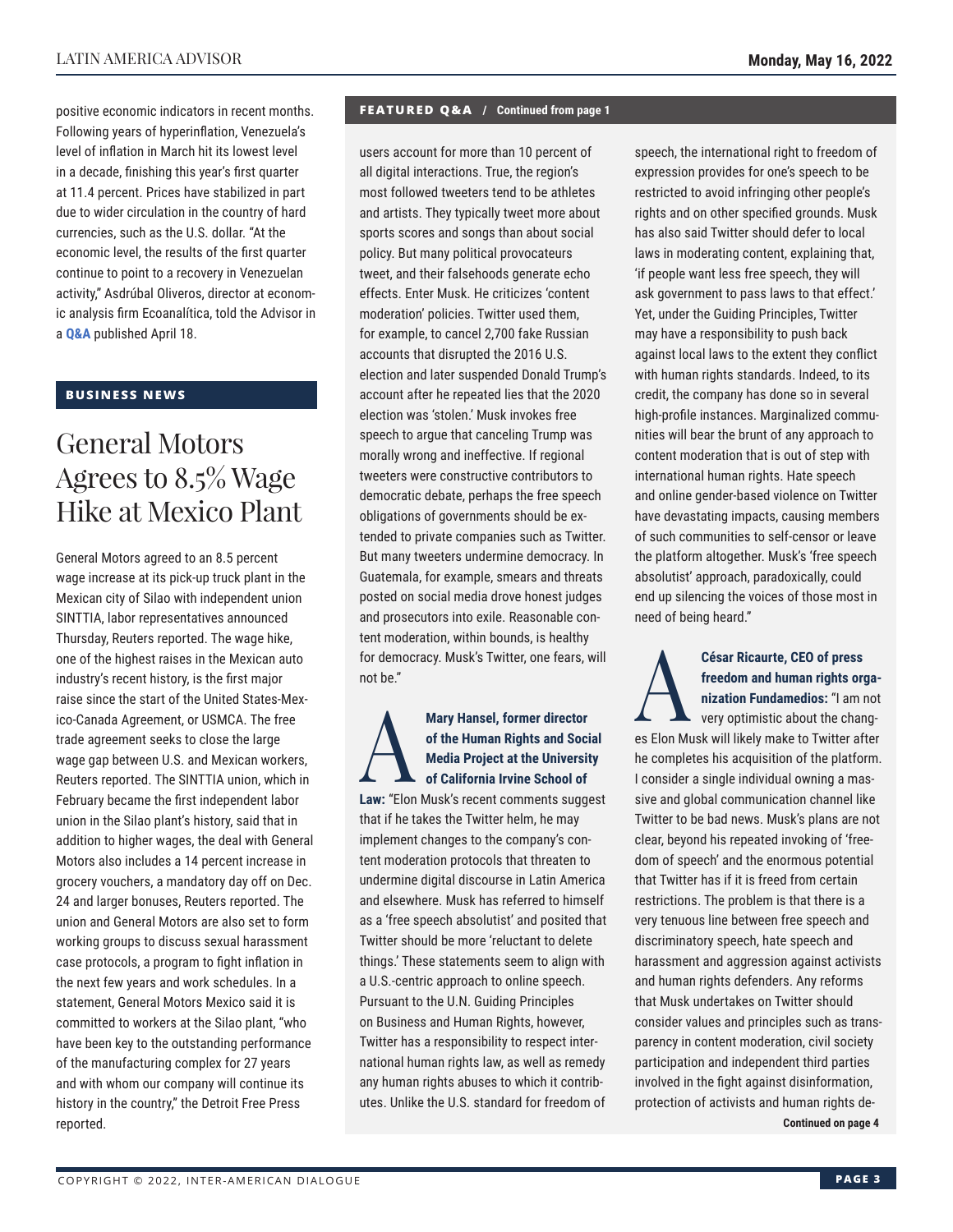positive economic indicators in recent months. Following years of hyperinflation, Venezuela's level of inflation in March hit its lowest level in a decade, finishing this year's first quarter at 11.4 percent. Prices have stabilized in part due to wider circulation in the country of hard currencies, such as the U.S. dollar. "At the economic level, the results of the first quarter continue to point to a recovery in Venezuelan activity," Asdrúbal Oliveros, director at economic analysis firm Ecoanalítica, told the Advisor in a **[Q&A](https://www.thedialogue.org/wp-content/uploads/2022/04/LAA220418.pdf)** published April 18.

#### **BUSINESS NEWS**

### General Motors Agrees to 8.5% Wage Hike at Mexico Plant

General Motors agreed to an 8.5 percent wage increase at its pick-up truck plant in the Mexican city of Silao with independent union SINTTIA, labor representatives announced Thursday, Reuters reported. The wage hike, one of the highest raises in the Mexican auto industry's recent history, is the first major raise since the start of the United States-Mexico-Canada Agreement, or USMCA. The free trade agreement seeks to close the large wage gap between U.S. and Mexican workers, Reuters reported. The SINTTIA union, which in February became the first independent labor union in the Silao plant's history, said that in addition to higher wages, the deal with General Motors also includes a 14 percent increase in grocery vouchers, a mandatory day off on Dec. 24 and larger bonuses, Reuters reported. The union and General Motors are also set to form working groups to discuss sexual harassment case protocols, a program to fight inflation in the next few years and work schedules. In a statement, General Motors Mexico said it is committed to workers at the Silao plant, "who have been key to the outstanding performance of the manufacturing complex for 27 years and with whom our company will continue its history in the country," the Detroit Free Press reported.

#### **FEATURED Q&A / Continued from page 1**

users account for more than 10 percent of all digital interactions. True, the region's most followed tweeters tend to be athletes and artists. They typically tweet more about sports scores and songs than about social policy. But many political provocateurs tweet, and their falsehoods generate echo effects. Enter Musk. He criticizes 'content moderation' policies. Twitter used them, for example, to cancel 2,700 fake Russian accounts that disrupted the 2016 U.S. election and later suspended Donald Trump's account after he repeated lies that the 2020 election was 'stolen.' Musk invokes free speech to argue that canceling Trump was morally wrong and ineffective. If regional tweeters were constructive contributors to democratic debate, perhaps the free speech obligations of governments should be extended to private companies such as Twitter. But many tweeters undermine democracy. In Guatemala, for example, smears and threats posted on social media drove honest judges and prosecutors into exile. Reasonable content moderation, within bounds, is healthy for democracy. Musk's Twitter, one fears, will not be."

#### Mary Hansel, former director<br>
of the Human Rights and Soci<br>
Media Project at the Universit<br>
of California Irvine School of<br>
Law: "Elen Muek's recent comments euge **of the Human Rights and Social Media Project at the University of California Irvine School of Law:** "Elon Musk's recent comments suggest

that if he takes the Twitter helm, he may implement changes to the company's content moderation protocols that threaten to undermine digital discourse in Latin America and elsewhere. Musk has referred to himself as a 'free speech absolutist' and posited that Twitter should be more 'reluctant to delete things.' These statements seem to align with a U.S.-centric approach to online speech. Pursuant to the U.N. Guiding Principles on Business and Human Rights, however, Twitter has a responsibility to respect international human rights law, as well as remedy any human rights abuses to which it contributes. Unlike the U.S. standard for freedom of

speech, the international right to freedom of expression provides for one's speech to be restricted to avoid infringing other people's rights and on other specified grounds. Musk has also said Twitter should defer to local laws in moderating content, explaining that, 'if people want less free speech, they will ask government to pass laws to that effect.' Yet, under the Guiding Principles, Twitter may have a responsibility to push back against local laws to the extent they conflict with human rights standards. Indeed, to its credit, the company has done so in several high-profile instances. Marginalized communities will bear the brunt of any approach to content moderation that is out of step with international human rights. Hate speech and online gender-based violence on Twitter have devastating impacts, causing members of such communities to self-censor or leave the platform altogether. Musk's 'free speech absolutist' approach, paradoxically, could end up silencing the voices of those most in need of being heard."

### **freedom and human rights organization Fundamedios:** "I am not

César Ricaurte, CEO of press<br>freedom and human rights org<br>nization Fundamedios: "I am r<br>very optimistic about the chan very optimistic about the changes Elon Musk will likely make to Twitter after he completes his acquisition of the platform. I consider a single individual owning a massive and global communication channel like Twitter to be bad news. Musk's plans are not clear, beyond his repeated invoking of 'freedom of speech' and the enormous potential that Twitter has if it is freed from certain restrictions. The problem is that there is a very tenuous line between free speech and discriminatory speech, hate speech and harassment and aggression against activists and human rights defenders. Any reforms that Musk undertakes on Twitter should consider values and principles such as transparency in content moderation, civil society participation and independent third parties involved in the fight against disinformation, protection of activists and human rights de-

**Continued on page 4**